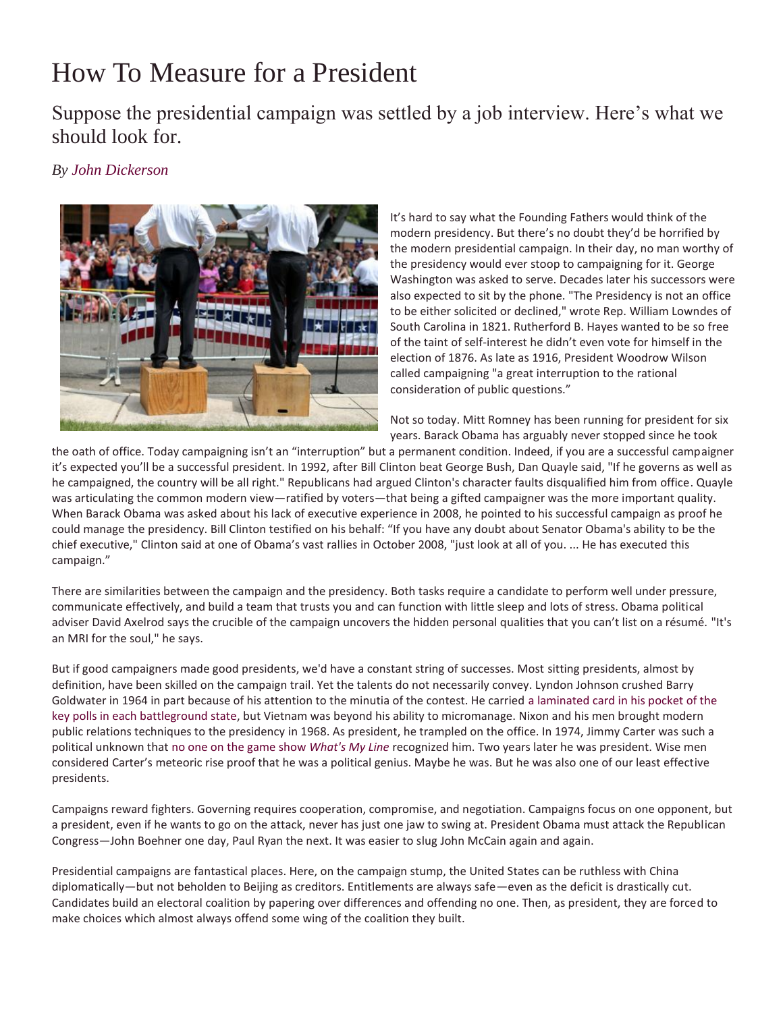## How To Measure for a President

Suppose the presidential campaign was settled by a job interview. Here's what we should look for.

*By [John Dickerson](http://www.slate.com/authors.john_dickerson.html)*



It's hard to say what the Founding Fathers would think of the modern presidency. But there's no doubt they'd be horrified by the modern presidential campaign. In their day, no man worthy of the presidency would ever stoop to campaigning for it. George Washington was asked to serve. Decades later his successors were also expected to sit by the phone. "The Presidency is not an office to be either solicited or declined," wrote Rep. William Lowndes of South Carolina in 1821. Rutherford B. Hayes wanted to be so free of the taint of self-interest he didn't even vote for himself in the election of 1876. As late as 1916, President Woodrow Wilson called campaigning "a great interruption to the rational consideration of public questions."

Not so today. Mitt Romney has been running for president for six years. Barack Obama has arguably never stopped since he took

the oath of office. Today campaigning isn't an "interruption" but a permanent condition. Indeed, if you are a successful campaigner it's expected you'll be a successful president. In 1992, after Bill Clinton beat George Bush, Dan Quayle said, "If he governs as well as he campaigned, the country will be all right." Republicans had argued Clinton's character faults disqualified him from office. Quayle was articulating the common modern view—ratified by voters—that being a gifted campaigner was the more important quality. When Barack Obama was asked about his lack of executive experience in 2008, he pointed to his successful campaign as proof he could manage the presidency. Bill Clinton testified on his behalf: "If you have any doubt about Senator Obama's ability to be the chief executive," Clinton said at one of Obama's vast rallies in October 2008, "just look at all of you. ... He has executed this campaign."

There are similarities between the campaign and the presidency. Both tasks require a candidate to perform well under pressure, communicate effectively, and build a team that trusts you and can function with little sleep and lots of stress. Obama political adviser David Axelrod says the crucible of the campaign uncovers the hidden personal qualities that you can't list on a résumé. "It's an MRI for the soul," he says.

But if good campaigners made good presidents, we'd have a constant string of successes. Most sitting presidents, almost by definition, have been skilled on the campaign trail. Yet the talents do not necessarily convey. Lyndon Johnson crushed Barry Goldwater in 1964 in part because of his attention to the minutia of the contest. He carried [a laminated card in his pocket of the](http://instagr.am/p/QApMezi-64/)  [key polls in each battleground state,](http://instagr.am/p/QApMezi-64/) but Vietnam was beyond his ability to micromanage. Nixon and his men brought modern public relations techniques to the presidency in 1968. As president, he trampled on the office. In 1974, Jimmy Carter was such a political unknown that [no one on the game show](http://www.yourememberthat.com/media/1294/Jimmy_Carter_on_Whats_My_Line/) *What's My Line* recognized him. Two years later he was president. Wise men considered Carter's meteoric rise proof that he was a political genius. Maybe he was. But he was also one of our least effective presidents.

Campaigns reward fighters. Governing requires cooperation, compromise, and negotiation. Campaigns focus on one opponent, but a president, even if he wants to go on the attack, never has just one jaw to swing at. President Obama must attack the Republican Congress—John Boehner one day, Paul Ryan the next. It was easier to slug John McCain again and again.

Presidential campaigns are fantastical places. Here, on the campaign stump, the United States can be ruthless with China diplomatically—but not beholden to Beijing as creditors. Entitlements are always safe—even as the deficit is drastically cut. Candidates build an electoral coalition by papering over differences and offending no one. Then, as president, they are forced to make choices which almost always offend some wing of the coalition they built.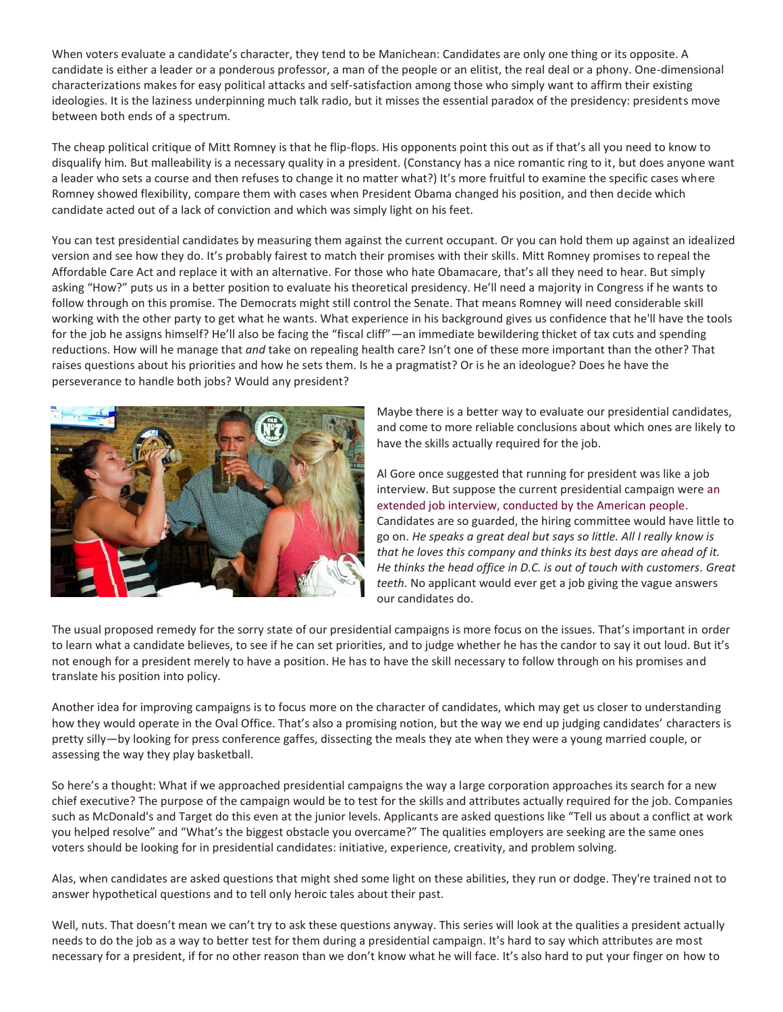When voters evaluate a candidate's character, they tend to be Manichean: Candidates are only one thing or its opposite. A candidate is either a leader or a ponderous professor, a man of the people or an elitist, the real deal or a phony. One-dimensional characterizations makes for easy political attacks and self-satisfaction among those who simply want to affirm their existing ideologies. It is the laziness underpinning much talk radio, but it misses the essential paradox of the presidency: presidents move between both ends of a spectrum.

The cheap political critique of Mitt Romney is that he flip-flops. His opponents point this out as if that's all you need to know to disqualify him. But malleability is a necessary quality in a president. (Constancy has a nice romantic ring to it, but does anyone want a leader who sets a course and then refuses to change it no matter what?) It's more fruitful to examine the specific cases where Romney showed flexibility, compare them with cases when President Obama changed his position, and then decide which candidate acted out of a lack of conviction and which was simply light on his feet.

You can test presidential candidates by measuring them against the current occupant. Or you can hold them up against an idealized version and see how they do. It's probably fairest to match their promises with their skills. Mitt Romney promises to repeal the Affordable Care Act and replace it with an alternative. For those who hate Obamacare, that's all they need to hear. But simply asking "How?" puts us in a better position to evaluate his theoretical presidency. He'll need a majority in Congress if he wants to follow through on this promise. The Democrats might still control the Senate. That means Romney will need considerable skill working with the other party to get what he wants. What experience in his background gives us confidence that he'll have the tools for the job he assigns himself? He'll also be facing the "fiscal cliff"—an immediate bewildering thicket of tax cuts and spending reductions. How will he manage that *and* take on repealing health care? Isn't one of these more important than the other? That raises questions about his priorities and how he sets them. Is he a pragmatist? Or is he an ideologue? Does he have the perseverance to handle both jobs? Would any president?



Maybe there is a better way to evaluate our presidential candidates, and come to more reliable conclusions about which ones are likely to have the skills actually required for the job.

Al Gore once suggested that running for president was like a job interview. But suppose the current presidential campaign were [an](http://www.pbs.org/newshour/bb/politics/july-dec00/SGpre_debate-10-3.html)  [extended job interview, conducted by the American people.](http://www.pbs.org/newshour/bb/politics/july-dec00/SGpre_debate-10-3.html) Candidates are so guarded, the hiring committee would have little to go on. *He speaks a great deal but says so little. All I really know is that he loves this company and thinks its best days are ahead of it. He thinks the head office in D.C. is out of touch with customers. Great teeth.* No applicant would ever get a job giving the vague answers our candidates do.

The usual proposed remedy for the sorry state of our presidential campaigns is more focus on the issues. That's important in order to learn what a candidate believes, to see if he can set priorities, and to judge whether he has the candor to say it out loud. But it's not enough for a president merely to have a position. He has to have the skill necessary to follow through on his promises and translate his position into policy.

Another idea for improving campaigns is to focus more on the character of candidates, which may get us closer to understanding how they would operate in the Oval Office. That's also a promising notion, but the way we end up judging candidates' characters is pretty silly—by looking for press conference gaffes, dissecting the meals they ate when they were a young married couple, or assessing the way they play basketball.

So here's a thought: What if we approached presidential campaigns the way a large corporation approaches its search for a new chief executive? The purpose of the campaign would be to test for the skills and attributes actually required for the job. Companies such as McDonald's and Target do this even at the junior levels. Applicants are asked questions like "Tell us about a conflict at work you helped resolve" and "What's the biggest obstacle you overcame?" The qualities employers are seeking are the same ones voters should be looking for in presidential candidates: initiative, experience, creativity, and problem solving.

Alas, when candidates are asked questions that might shed some light on these abilities, they run or dodge. They're trained not to answer hypothetical questions and to tell only heroic tales about their past.

Well, nuts. That doesn't mean we can't try to ask these questions anyway. This series will look at the qualities a president actually needs to do the job as a way to better test for them during a presidential campaign. It's hard to say which attributes are most necessary for a president, if for no other reason than we don't know what he will face. It's also hard to put your finger on how to